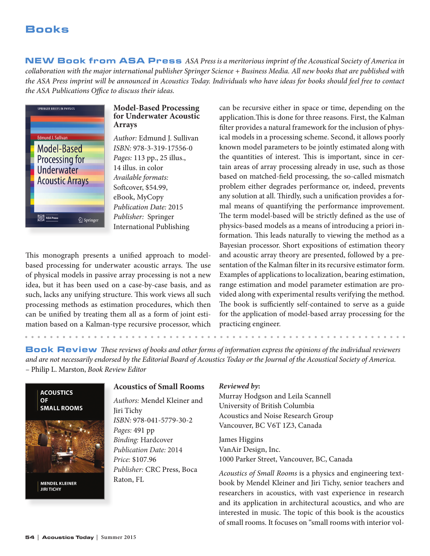# Books

NEW Book from ASA Press *ASA Press is a meritorious imprint of the Acoustical Society of America in collaboration with the major international publisher Springer Science + Business Media. All new books that are published with the ASA Press imprint will be announced in Acoustics Today. Individuals who have ideas for books should feel free to contact the ASA Publications Office to discuss their ideas.*



### **Model-Based Processing for Underwater Acoustic Arrays**

*Author:* Edmund J. Sullivan *ISBN:* 978-3-319-17556-0 *Pages:* 113 pp., 25 illus., 14 illus. in color *Available formats:*  Softcover, \$54.99, eBook, MyCopy *Publication Date:* 2015 *Publisher:* Springer International Publishing

This monograph presents a unified approach to modelbased processing for underwater acoustic arrays. The use of physical models in passive array processing is not a new idea, but it has been used on a case-by-case basis, and as such, lacks any unifying structure. This work views all such processing methods as estimation procedures, which then can be unified by treating them all as a form of joint estimation based on a Kalman-type recursive processor, which

can be recursive either in space or time, depending on the application.This is done for three reasons. First, the Kalman filter provides a natural framework for the inclusion of physical models in a processing scheme. Second, it allows poorly known model parameters to be jointly estimated along with the quantities of interest. This is important, since in certain areas of array processing already in use, such as those based on matched-field processing, the so-called mismatch problem either degrades performance or, indeed, prevents any solution at all. Thirdly, such a unification provides a formal means of quantifying the performance improvement. The term model-based will be strictly defined as the use of physics-based models as a means of introducing a priori information. This leads naturally to viewing the method as a Bayesian processor. Short expositions of estimation theory and acoustic array theory are presented, followed by a presentation of the Kalman filter in its recursive estimator form. Examples of applications to localization, bearing estimation, range estimation and model parameter estimation are provided along with experimental results verifying the method. The book is sufficiently self-contained to serve as a guide for the application of model-based array processing for the practicing engineer.

Book Review *These reviews of books and other forms of information express the opinions of the individual reviewers and are not necessarily endorsed by the Editorial Board of Acoustics Today or the Journal of the Acoustical Society of America.*  – Philip L. Marston, *Book Review Editor*



**MENDEL KLEINER JIRITICHY** 

## **Acoustics of Small Rooms**

*Authors:* Mendel Kleiner and Jiri Tichy *ISBN:* 978-041-5779-30-2 *Pages:* 491 pp *Binding:* Hardcover *Publication Date:* 2014 *Price:* \$107.96 *Publisher:* CRC Press, Boca Raton, FL

### *Reviewed by***:**

Murray Hodgson and Leila Scannell University of British Columbia Acoustics and Noise Research Group Vancouver, BC V6T 1Z3, Canada

James Higgins VanAir Design, Inc. 1000 Parker Street, Vancouver, BC, Canada

*Acoustics of Small Rooms* is a physics and engineering textbook by Mendel Kleiner and Jiri Tichy, senior teachers and researchers in acoustics, with vast experience in research and its application in architectural acoustics, and who are interested in music. The topic of this book is the acoustics of small rooms. It focuses on "small rooms with interior vol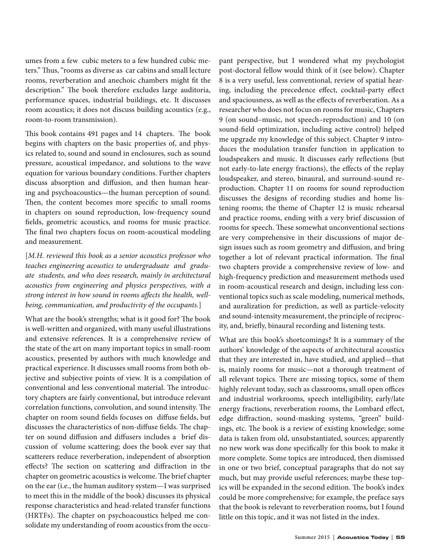umes from a few cubic meters to a few hundred cubic meters." Thus, "rooms as diverse as car cabins and small lecture rooms, reverberation and anechoic chambers might fit the description." The book therefore excludes large auditoria, performance spaces, industrial buildings, etc. It discusses room acoustics; it does not discuss building acoustics (e.g., room-to-room transmission).

This book contains 491 pages and 14 chapters. The book begins with chapters on the basic properties of, and physics related to, sound and sound in enclosures, such as sound pressure, acoustical impedance, and solutions to the wave equation for various boundary conditions. Further chapters discuss absorption and diffusion, and then human hearing and psychoacoustics—the human perception of sound. Then, the content becomes more specific to small rooms in chapters on sound reproduction, low-frequency sound fields, geometric acoustics, and rooms for music practice. The final two chapters focus on room-acoustical modeling and measurement.

[*M.H. reviewed this book as a senior acoustics professor who teaches engineering acoustics to undergraduate and graduate students, and who does research, mainly in architectural acoustics from engineering and physics perspectives, with a strong interest in how sound in rooms affects the health, wellbeing, communication, and productivity of the occupants.*]

What are the book's strengths; what is it good for? The book is well-written and organized, with many useful illustrations and extensive references. It is a comprehensive review of the state of the art on many important topics in small-room acoustics, presented by authors with much knowledge and practical experience. It discusses small rooms from both objective and subjective points of view. It is a compilation of conventional and less conventional material. The introductory chapters are fairly conventional, but introduce relevant correlation functions, convolution, and sound intensity. The chapter on room sound fields focuses on diffuse fields, but discusses the characteristics of non-diffuse fields. The chapter on sound diffusion and diffusers includes a brief discussion of volume scattering; does the book ever say that scatterers reduce reverberation, independent of absorption effects? The section on scattering and diffraction in the chapter on geometric acoustics is welcome. The brief chapter on the ear (i.e., the human auditory system—I was surprised to meet this in the middle of the book) discusses its physical response characteristics and head-related transfer functions (HRTFs). The chapter on psychoacoustics helped me consolidate my understanding of room acoustics from the occupant perspective, but I wondered what my psychologist post-doctoral fellow would think of it (see below). Chapter 8 is a very useful, less conventional, review of spatial hearing, including the precedence effect, cocktail-party effect and spaciousness, as well as the effects of reverberation. As a researcher who does not focus on rooms for music, Chapters 9 (on sound–music, not speech–reproduction) and 10 (on sound-field optimization, including active control) helped me upgrade my knowledge of this subject. Chapter 9 introduces the modulation transfer function in application to loudspeakers and music. It discusses early reflections (but not early-to-late energy fractions), the effects of the replay loudspeaker, and stereo, binaural, and surround-sound reproduction. Chapter 11 on rooms for sound reproduction discusses the designs of recording studies and home listening rooms; the theme of Chapter 12 is music rehearsal and practice rooms, ending with a very brief discussion of rooms for speech. These somewhat unconventional sections are very comprehensive in their discussions of major design issues such as room geometry and diffusion, and bring together a lot of relevant practical information. The final two chapters provide a comprehensive review of low- and high-frequency prediction and measurement methods used in room-acoustical research and design, including less conventional topics such as scale modeling, numerical methods, and auralization for prediction, as well as particle-velocity and sound-intensity measurement, the principle of reciprocity, and, briefly, binaural recording and listening tests.

What are this book's shortcomings? It is a summary of the authors' knowledge of the aspects of architectural acoustics that they are interested in, have studied, and applied—that is, mainly rooms for music—not a thorough treatment of all relevant topics. There are missing topics, some of them highly relevant today, such as classrooms, small open offices and industrial workrooms, speech intelligibility, early/late energy fractions, reverberation rooms, the Lombard effect, edge diffraction, sound-masking systems, "green" buildings, etc. The book is a review of existing knowledge; some data is taken from old, unsubstantiated, sources; apparently no new work was done specifically for this book to make it more complete. Some topics are introduced, then dismissed in one or two brief, conceptual paragraphs that do not say much, but may provide useful references; maybe these topics will be expanded in the second edition. The book's index could be more comprehensive; for example, the preface says that the book is relevant to reverberation rooms, but I found little on this topic, and it was not listed in the index.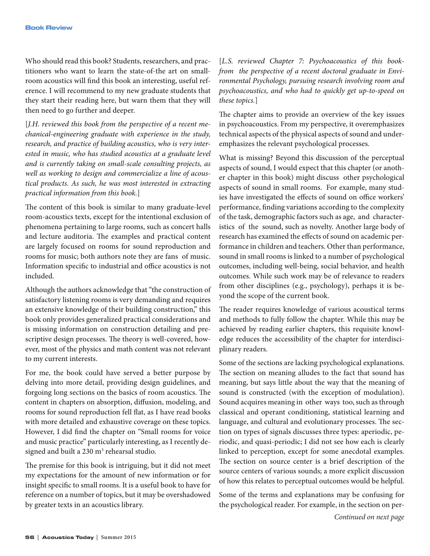Who should read this book? Students, researchers, and practitioners who want to learn the state-of-the art on smallroom acoustics will find this book an interesting, useful reference. I will recommend to my new graduate students that they start their reading here, but warn them that they will then need to go further and deeper.

[*J.H. reviewed this book from the perspective of a recent mechanical-engineering graduate with experience in the study, research, and practice of building acoustics, who is very interested in music, who has studied acoustics at a graduate level and is currently taking on small-scale consulting projects, as well as working to design and commercialize a line of acoustical products. As such, he was most interested in extracting practical information from this book.*]

The content of this book is similar to many graduate-level room-acoustics texts, except for the intentional exclusion of phenomena pertaining to large rooms, such as concert halls and lecture auditoria. The examples and practical content are largely focused on rooms for sound reproduction and rooms for music; both authors note they are fans of music. Information specific to industrial and office acoustics is not included.

Although the authors acknowledge that "the construction of satisfactory listening rooms is very demanding and requires an extensive knowledge of their building construction," this book only provides generalized practical considerations and is missing information on construction detailing and prescriptive design processes. The theory is well-covered, however, most of the physics and math content was not relevant to my current interests.

For me, the book could have served a better purpose by delving into more detail, providing design guidelines, and forgoing long sections on the basics of room acoustics. The content in chapters on absorption, diffusion, modeling, and rooms for sound reproduction fell flat, as I have read books with more detailed and exhaustive coverage on these topics. However, I did find the chapter on "Small rooms for voice and music practice" particularly interesting, as I recently designed and built a 230 m<sup>3</sup> rehearsal studio.

The premise for this book is intriguing, but it did not meet my expectations for the amount of new information or for insight specific to small rooms. It is a useful book to have for reference on a number of topics, but it may be overshadowed by greater texts in an acoustics library.

[*L.S. reviewed Chapter 7: Psychoacoustics of this bookfrom the perspective of a recent doctoral graduate in Environmental Psychology, pursuing research involving room and psychoacoustics, and who had to quickly get up-to-speed on these topics.*]

The chapter aims to provide an overview of the key issues in psychoacoustics. From my perspective, it overemphasizes technical aspects of the physical aspects of sound and underemphasizes the relevant psychological processes.

What is missing? Beyond this discussion of the perceptual aspects of sound, I would expect that this chapter (or another chapter in this book) might discuss other psychological aspects of sound in small rooms. For example, many studies have investigated the effects of sound on office workers' performance, finding variations according to the complexity of the task, demographic factors such as age, and characteristics of the sound, such as novelty. Another large body of research has examined the effects of sound on academic performance in children and teachers. Other than performance, sound in small rooms is linked to a number of psychological outcomes, including well-being, social behavior, and health outcomes. While such work may be of relevance to readers from other disciplines (e.g., psychology), perhaps it is beyond the scope of the current book.

The reader requires knowledge of various acoustical terms and methods to fully follow the chapter. While this may be achieved by reading earlier chapters, this requisite knowledge reduces the accessibility of the chapter for interdisciplinary readers.

Some of the sections are lacking psychological explanations. The section on meaning alludes to the fact that sound has meaning, but says little about the way that the meaning of sound is constructed (with the exception of modulation). Sound acquires meaning in other ways too, such as through classical and operant conditioning, statistical learning and language, and cultural and evolutionary processes. The section on types of signals discusses three types: aperiodic, periodic, and quasi-periodic; I did not see how each is clearly linked to perception, except for some anecdotal examples. The section on source center is a brief description of the source centers of various sounds; a more explicit discussion of how this relates to perceptual outcomes would be helpful.

Some of the terms and explanations may be confusing for the psychological reader. For example, in the section on per-